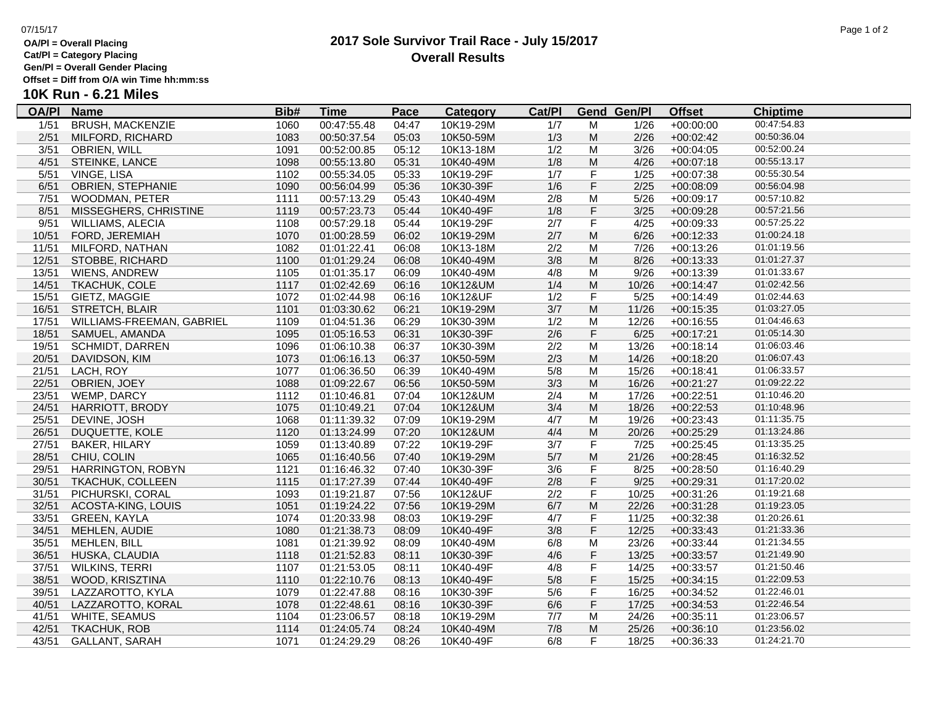### **OA/Pl = Overall Placing Cat/Pl = Category Placing**

**Gen/Pl = Overall Gender Placing**

**Offset = Diff from O/A win Time hh:mm:ss**

# **10K Run - 6.21 Miles**

| <u>OA/PI</u> | <b>Name</b>               | Bib# | <u>Time</u> | <b>Pace</b> | <b>Category</b> | Cat/PI |                | <b>Gend Gen/Pl</b> | <b>Offset</b> | <b>Chiptime</b> |  |
|--------------|---------------------------|------|-------------|-------------|-----------------|--------|----------------|--------------------|---------------|-----------------|--|
| 1/51         | <b>BRUSH, MACKENZIE</b>   | 1060 | 00:47:55.48 | 04:47       | 10K19-29M       | 1/7    | м              | 1/26               | $+00:00:00$   | 00:47:54.83     |  |
| 2/51         | MILFORD, RICHARD          | 1083 | 00:50:37.54 | 05:03       | 10K50-59M       | 1/3    | M              | 2/26               | $+00:02:42$   | 00:50:36.04     |  |
| 3/51         | <b>OBRIEN, WILL</b>       | 1091 | 00:52:00.85 | 05:12       | 10K13-18M       | 1/2    | м              | 3/26               | $+00:04:05$   | 00:52:00.24     |  |
| 4/51         | STEINKE, LANCE            | 1098 | 00:55:13.80 | 05:31       | 10K40-49M       | 1/8    | M              | 4/26               | $+00:07:18$   | 00:55:13.17     |  |
| 5/51         | VINGE, LISA               | 1102 | 00:55:34.05 | 05:33       | 10K19-29F       | 1/7    | F              | 1/25               | $+00:07:38$   | 00:55:30.54     |  |
| 6/51         | <b>OBRIEN, STEPHANIE</b>  | 1090 | 00:56:04.99 | 05:36       | 10K30-39F       | 1/6    | $\mathsf F$    | 2/25               | $+00:08:09$   | 00:56:04.98     |  |
| 7/51         | WOODMAN, PETER            | 1111 | 00:57:13.29 | 05:43       | 10K40-49M       | 2/8    | M              | 5/26               | $+00:09:17$   | 00:57:10.82     |  |
| 8/51         | MISSEGHERS, CHRISTINE     | 1119 | 00:57:23.73 | 05:44       | 10K40-49F       | 1/8    | $\mathsf F$    | 3/25               | +00:09:28     | 00:57:21.56     |  |
| 9/51         | <b>WILLIAMS, ALECIA</b>   | 1108 | 00:57:29.18 | 05:44       | 10K19-29F       | 2/7    | F              | 4/25               | $+00:09:33$   | 00:57:25.22     |  |
| 10/51        | FORD, JEREMIAH            | 1070 | 01:00:28.59 | 06:02       | 10K19-29M       | 2/7    | M              | 6/26               | $+00:12:33$   | 01:00:24.18     |  |
| 11/51        | MILFORD, NATHAN           | 1082 | 01:01:22.41 | 06:08       | 10K13-18M       | 2/2    | M              | 7/26               | $+00:13:26$   | 01:01:19.56     |  |
| 12/51        | STOBBE, RICHARD           | 1100 | 01:01:29.24 | 06:08       | 10K40-49M       | 3/8    | M              | 8/26               | $+00:13:33$   | 01:01:27.37     |  |
| 13/51        | WIENS, ANDREW             | 1105 | 01:01:35.17 | 06:09       | 10K40-49M       | 4/8    | M              | 9/26               | $+00:13:39$   | 01:01:33.67     |  |
| 14/51        | <b>TKACHUK, COLE</b>      | 1117 | 01:02:42.69 | 06:16       | 10K12&UM        | 1/4    | M              | 10/26              | $+00:14:47$   | 01:02:42.56     |  |
| 15/51        | GIETZ, MAGGIE             | 1072 | 01:02:44.98 | 06:16       | 10K12&UF        | 1/2    | F              | 5/25               | $+00:14:49$   | 01:02:44.63     |  |
| 16/51        | STRETCH, BLAIR            | 1101 | 01:03:30.62 | 06:21       | 10K19-29M       | 3/7    | M              | 11/26              | $+00:15:35$   | 01:03:27.05     |  |
| 17/51        | WILLIAMS-FREEMAN, GABRIEL | 1109 | 01:04:51.36 | 06:29       | 10K30-39M       | 1/2    | м              | 12/26              | $+00:16:55$   | 01:04:46.63     |  |
| 18/51        | SAMUEL, AMANDA            | 1095 | 01:05:16.53 | 06:31       | 10K30-39F       | 2/6    | F              | 6/25               | $+00:17:21$   | 01:05:14.30     |  |
| 19/51        | SCHMIDT, DARREN           | 1096 | 01:06:10.38 | 06:37       | 10K30-39M       | 2/2    | M              | 13/26              | $+00:18:14$   | 01:06:03.46     |  |
| 20/51        | DAVIDSON, KIM             | 1073 | 01:06:16.13 | 06:37       | 10K50-59M       | 2/3    | M              | 14/26              | $+00:18:20$   | 01:06:07.43     |  |
| 21/51        | LACH, ROY                 | 1077 | 01:06:36.50 | 06:39       | 10K40-49M       | 5/8    | м              | 15/26              | $+00:18:41$   | 01:06:33.57     |  |
| 22/51        | OBRIEN, JOEY              | 1088 | 01:09:22.67 | 06:56       | 10K50-59M       | 3/3    | M              | 16/26              | $+00:21:27$   | 01:09:22.22     |  |
| 23/51        | WEMP, DARCY               | 1112 | 01:10:46.81 | 07:04       | 10K12&UM        | 2/4    | M              | 17/26              | $+00:22:51$   | 01:10:46.20     |  |
| 24/51        | <b>HARRIOTT, BRODY</b>    | 1075 | 01:10:49.21 | 07:04       | 10K12&UM        | 3/4    | M              | 18/26              | $+00:22:53$   | 01:10:48.96     |  |
| 25/51        | DEVINE, JOSH              | 1068 | 01:11:39.32 | 07:09       | 10K19-29M       | 4/7    | м              | 19/26              | $+00:23:43$   | 01:11:35.75     |  |
| 26/51        | DUQUETTE, KOLE            | 1120 | 01:13:24.99 | 07:20       | 10K12&UM        | 4/4    | M              | 20/26              | $+00:25:29$   | 01:13:24.86     |  |
| 27/51        | <b>BAKER, HILARY</b>      | 1059 | 01:13:40.89 | 07:22       | 10K19-29F       | 3/7    | F              | 7/25               | $+00:25:45$   | 01:13:35.25     |  |
| 28/51        | CHIU, COLIN               | 1065 | 01:16:40.56 | 07:40       | 10K19-29M       | 5/7    | M              | 21/26              | $+00:28:45$   | 01:16:32.52     |  |
| 29/51        | HARRINGTON, ROBYN         | 1121 | 01:16:46.32 | 07:40       | 10K30-39F       | 3/6    | F              | 8/25               | $+00:28:50$   | 01:16:40.29     |  |
| 30/51        | TKACHUK, COLLEEN          | 1115 | 01:17:27.39 | 07:44       | 10K40-49F       | 2/8    | F              | 9/25               | $+00:29:31$   | 01:17:20.02     |  |
| 31/51        | PICHURSKI, CORAL          | 1093 | 01:19:21.87 | 07:56       | 10K12&UF        | 2/2    | F              | 10/25              | $+00:31:26$   | 01:19:21.68     |  |
| 32/51        | ACOSTA-KING, LOUIS        | 1051 | 01:19:24.22 | 07:56       | 10K19-29M       | 6/7    | M              | 22/26              | $+00:31:28$   | 01:19:23.05     |  |
| 33/51        | <b>GREEN, KAYLA</b>       | 1074 | 01:20:33.98 | 08:03       | 10K19-29F       | 4/7    | F              | 11/25              | $+00:32:38$   | 01:20:26.61     |  |
| 34/51        | MEHLEN, AUDIE             | 1080 | 01:21:38.73 | 08:09       | 10K40-49F       | 3/8    | F              | 12/25              | $+00:33:43$   | 01:21:33.36     |  |
| 35/51        | MEHLEN, BILL              | 1081 | 01:21:39.92 | 08:09       | 10K40-49M       | 6/8    | M              | 23/26              | $+00:33:44$   | 01:21:34.55     |  |
| 36/51        | HUSKA, CLAUDIA            | 1118 | 01:21:52.83 | 08:11       | 10K30-39F       | 4/6    | F              | 13/25              | $+00:33:57$   | 01:21:49.90     |  |
| 37/51        | WILKINS, TERRI            | 1107 | 01:21:53.05 | 08:11       | 10K40-49F       | 4/8    | F              | 14/25              | $+00:33:57$   | 01:21:50.46     |  |
| 38/51        | WOOD, KRISZTINA           | 1110 | 01:22:10.76 | 08:13       | 10K40-49F       | 5/8    | $\mathsf F$    | 15/25              | $+00:34:15$   | 01:22:09.53     |  |
| 39/51        | LAZZAROTTO, KYLA          | 1079 | 01:22:47.88 | 08:16       | 10K30-39F       | 5/6    | $\overline{F}$ | 16/25              | $+00:34:52$   | 01:22:46.01     |  |
| 40/51        | LAZZAROTTO, KORAL         | 1078 | 01:22:48.61 | 08:16       | 10K30-39F       | 6/6    | F              | 17/25              | $+00:34:53$   | 01:22:46.54     |  |
| 41/51        | <b>WHITE, SEAMUS</b>      | 1104 | 01:23:06.57 | 08:18       | 10K19-29M       | 7/7    | м              | 24/26              | $+00:35:11$   | 01:23:06.57     |  |
| 42/51        | <b>TKACHUK, ROB</b>       | 1114 | 01:24:05.74 | 08:24       | 10K40-49M       | 7/8    | M              | 25/26              | $+00:36:10$   | 01:23:56.02     |  |
| 43/51        | <b>GALLANT, SARAH</b>     | 1071 | 01:24:29.29 | 08:26       | 10K40-49F       | 6/8    | F              | 18/25              | $+00:36:33$   | 01:24:21.70     |  |
|              |                           |      |             |             |                 |        |                |                    |               |                 |  |

### **2017 Sole Survivor Trail Race - July 15/2017** 07/15/17 Page 1 of 2 **Overall Results**